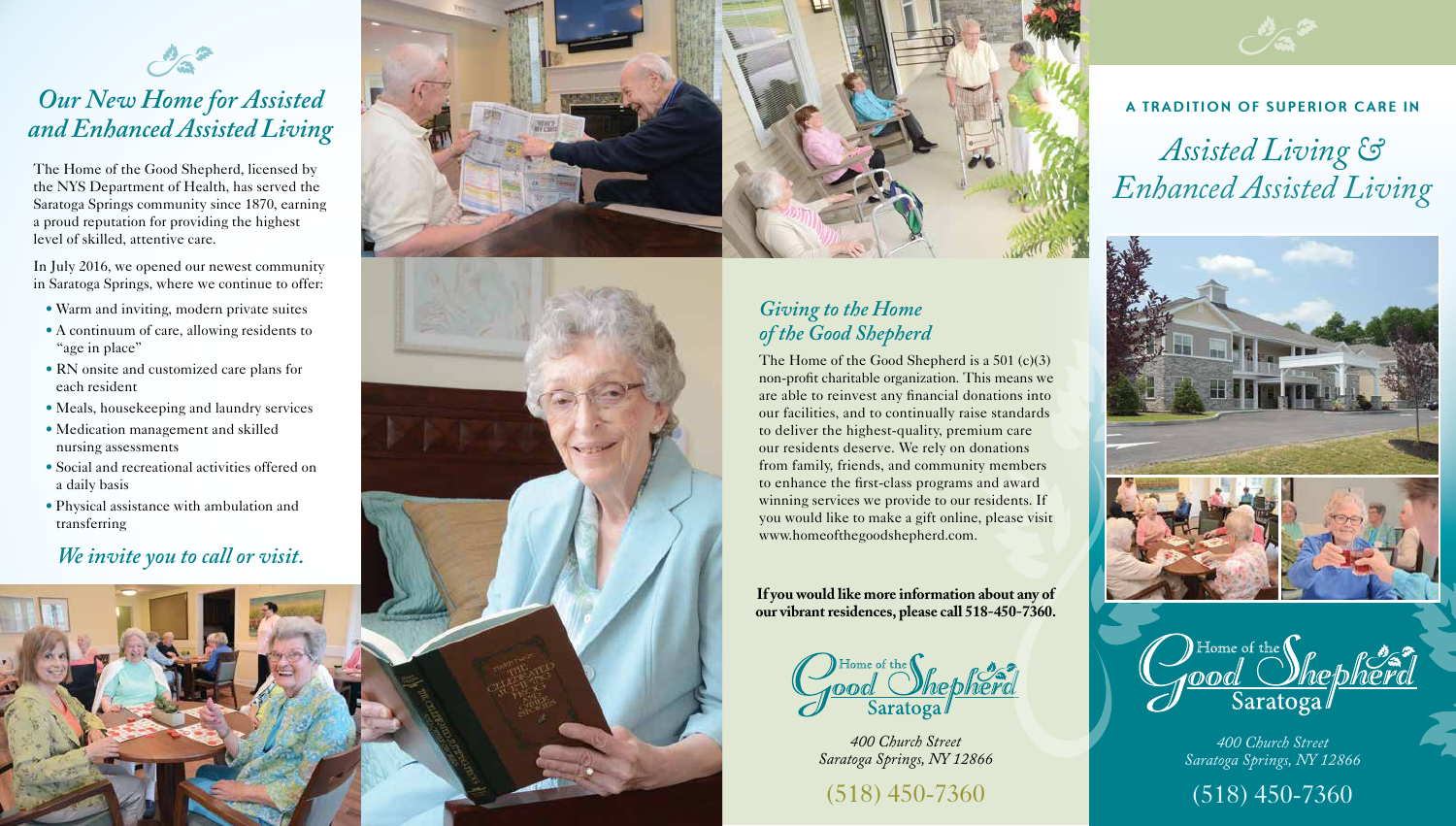#### **A TRADITION OF SUPERIOR CARE IN**

# *Assisted Living & Enhanced Assisted Living*





*400 Church Street Saratoga Springs, NY 12866*

(518) 450-7360

*400 Church Street Saratoga Springs, NY 12866*

(518) 450-7360

The Home of the Good Shepherd, licensed by the NYS Department of Health, has served the Saratoga Springs community since 1870, earning a proud reputation for providing the highest level of skilled, attentive care.

In July 2016, we opened our newest community in Saratoga Springs, where we continue to offer:

- Warm and inviting, modern private suites
- A continuum of care, allowing residents to "age in place"
- RN onsite and customized care plans for each resident
- Meals, housekeeping and laundry services
- Medication management and skilled nursing assessments
- Social and recreational activities offered on a daily basis
- Physical assistance with ambulation and transferring

## *Our New Home for Assisted and Enhanced Assisted Living*

#### *We invite you to call or visit.*







#### *Giving to the Home of the Good Shepherd*

The Home of the Good Shepherd is a 501 (c)(3) non-profit charitable organization. This means we are able to reinvest any financial donations into our facilities, and to continually raise standards to deliver the highest-quality, premium care our residents deserve. We rely on donations from family, friends, and community members to enhance the first-class programs and award winning services we provide to our residents. If you would like to make a gift online, please visit www.homeofthegoodshepherd.com.

**If you would like more information about any of our vibrant residences, please call 518-450-7360.**